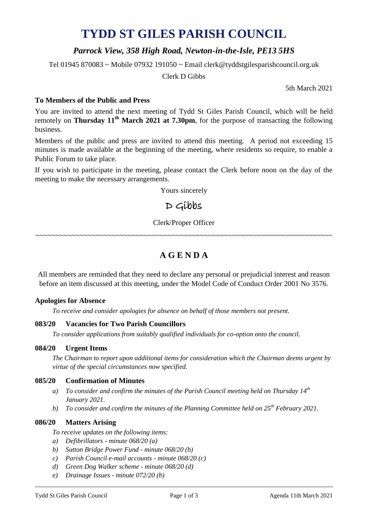# **TYDD ST GILES PARISH COUNCIL**

### *Parrock View, 358 High Road, Newton-in-the-Isle, PE13 5HS*

Tel 01945 870083 ~ Mobile 07932 191050 ~ Email clerk@tyddstgilesparishcouncil.org.uk

Clerk D Gibbs

5th March 2021

### **To Members of the Public and Press**

You are invited to attend the next meeting of Tydd St Giles Parish Council, which will be held remotely on **Thursday 11<sup>th</sup> March 2021 at 7.30pm**, for the purpose of transacting the following business.

Members of the public and press are invited to attend this meeting. A period not exceeding 15 minutes is made available at the beginning of the meeting, where residents so require, to enable a Public Forum to take place.

If you wish to participate in the meeting, please contact the Clerk before noon on the day of the meeting to make the necessary arrangements.

Yours sincerely

# $D$  Gibbs

Clerk/Proper Officer

~~~~~~~~~~~~~~~~~~~~~~~~~~~~~~~~~~~~~~~~~~~~~~~~~~~~~~~~~~~~~~~~~~~~~~~~~~

## **A G E N D A**

All members are reminded that they need to declare any personal or prejudicial interest and reason before an item discussed at this meeting, under the Model Code of Conduct Order 2001 No 3576.

#### **Apologies for Absence**

*To receive and consider apologies for absence on behalf of those members not present.*

#### **083/20 Vacancies for Two Parish Councillors**

*To consider applications from suitably qualified individuals for co-option onto the council.*

#### **084/20 Urgent Items**

*The Chairman to report upon additional items for consideration which the Chairman deems urgent by virtue of the special circumstances now specified.*

#### **085/20 Confirmation of Minutes**

- *a) To consider and confirm the minutes of the Parish Council meeting held on Thursday 14 th January 2021.*
- *b) To consider and confirm the minutes of the Planning Committee held on 25 th February 2021.*

#### **086/20 Matters Arising**

- *To receive updates on the following items:*
- *a) Defibrillators - minute 068/20 (a)*
- *b) Sutton Bridge Power Fund - minute 068/20 (b)*
- *c) Parish Council e-mail accounts - minute 068/20 (c)*
- *d) Green Dog Walker scheme - minute 068/20 (d)*
- *e) Drainage Issues - minute 072/20 (b)*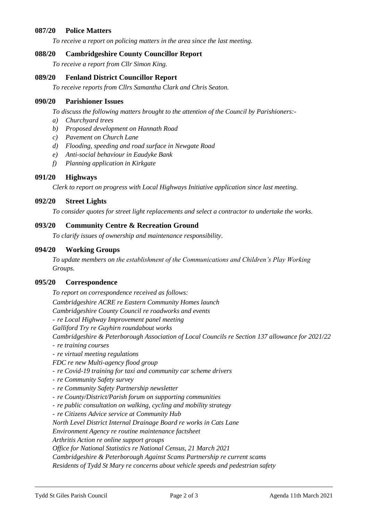#### **087/20 Police Matters**

*To receive a report on policing matters in the area since the last meeting.*

#### **088/20 Cambridgeshire County Councillor Report**

*To receive a report from Cllr Simon King.*

#### **089/20 Fenland District Councillor Report**

*To receive reports from Cllrs Samantha Clark and Chris Seaton.*

#### **090/20 Parishioner Issues**

*To discuss the following matters brought to the attention of the Council by Parishioners:-*

- *a) Churchyard trees*
- *b) Proposed development on Hannath Road*
- *c) Pavement on Church Lane*
- *d) Flooding, speeding and road surface in Newgate Road*
- *e) Anti-social behaviour in Eaudyke Bank*
- *f) Planning application in Kirkgate*

#### **091/20 Highways**

*Clerk to report on progress with Local Highways Initiative application since last meeting.*

#### **092/20 Street Lights**

*To consider quotes for street light replacements and select a contractor to undertake the works.*

#### **093/20 Community Centre & Recreation Ground**

*To clarify issues of ownership and maintenance responsibility.*

#### **094/20 Working Groups**

*To update members on the establishment of the Communications and Children's Play Working Groups.*

#### **095/20 Correspondence**

*To report on correspondence received as follows:*

*Cambridgeshire ACRE re Eastern Community Homes launch*

*Cambridgeshire County Council re roadworks and events*

- *re Local Highway Improvement panel meeting*

*Galliford Try re Guyhirn roundabout works*

*Cambridgeshire & Peterborough Association of Local Councils re Section 137 allowance for 2021/22*

- *re training courses*
- *re virtual meeting regulations*

*FDC re new Multi-agency flood group*

- *re Covid-19 training for taxi and community car scheme drivers*
- *re Community Safety survey*
- *re Community Safety Partnership newsletter*
- *re County/District/Parish forum on supporting communities*
- *re public consultation on walking, cycling and mobility strategy*
- *re Citizens Advice service at Community Hub*

*North Level District Internal Drainage Board re works in Cats Lane*

*Environment Agency re routine maintenance factsheet*

*Arthritis Action re online support groups*

*Office for National Statistics re National Census, 21 March 2021*

*Cambridgeshire & Peterborough Against Scams Partnership re current scams*

*Residents of Tydd St Mary re concerns about vehicle speeds and pedestrian safety*